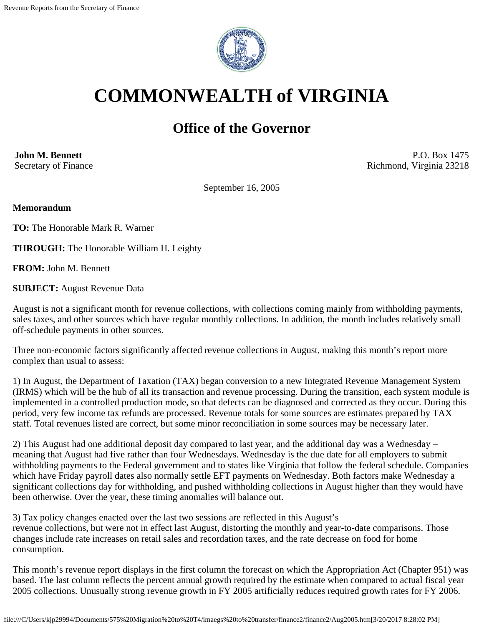

# **COMMONWEALTH of VIRGINIA**

# **Office of the Governor**

**John M. Bennett** Secretary of Finance

P.O. Box 1475 Richmond, Virginia 23218

September 16, 2005

**Memorandum**

**TO:** The Honorable Mark R. Warner

**THROUGH:** The Honorable William H. Leighty

**FROM:** John M. Bennett

**SUBJECT:** August Revenue Data

August is not a significant month for revenue collections, with collections coming mainly from withholding payments, sales taxes, and other sources which have regular monthly collections. In addition, the month includes relatively small off-schedule payments in other sources.

Three non-economic factors significantly affected revenue collections in August, making this month's report more complex than usual to assess:

1) In August, the Department of Taxation (TAX) began conversion to a new Integrated Revenue Management System (IRMS) which will be the hub of all its transaction and revenue processing. During the transition, each system module is implemented in a controlled production mode, so that defects can be diagnosed and corrected as they occur. During this period, very few income tax refunds are processed. Revenue totals for some sources are estimates prepared by TAX staff. Total revenues listed are correct, but some minor reconciliation in some sources may be necessary later.

2) This August had one additional deposit day compared to last year, and the additional day was a Wednesday – meaning that August had five rather than four Wednesdays. Wednesday is the due date for all employers to submit withholding payments to the Federal government and to states like Virginia that follow the federal schedule. Companies which have Friday payroll dates also normally settle EFT payments on Wednesday. Both factors make Wednesday a significant collections day for withholding, and pushed withholding collections in August higher than they would have been otherwise. Over the year, these timing anomalies will balance out.

3) Tax policy changes enacted over the last two sessions are reflected in this August's revenue collections, but were not in effect last August, distorting the monthly and year-to-date comparisons. Those changes include rate increases on retail sales and recordation taxes, and the rate decrease on food for home consumption.

This month's revenue report displays in the first column the forecast on which the Appropriation Act (Chapter 951) was based. The last column reflects the percent annual growth required by the estimate when compared to actual fiscal year 2005 collections. Unusually strong revenue growth in FY 2005 artificially reduces required growth rates for FY 2006.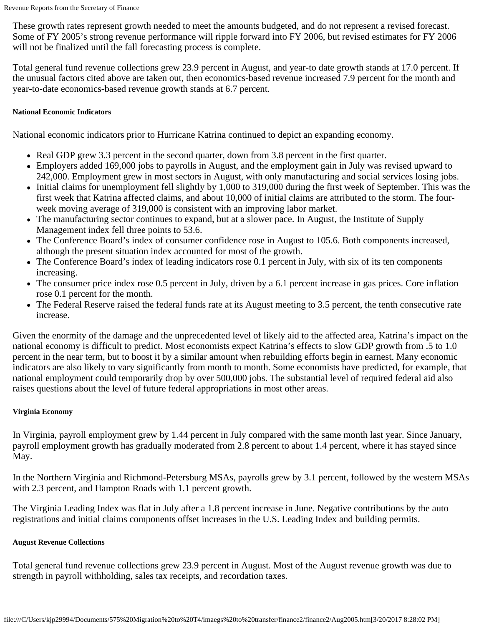These growth rates represent growth needed to meet the amounts budgeted, and do not represent a revised forecast. Some of FY 2005's strong revenue performance will ripple forward into FY 2006, but revised estimates for FY 2006 will not be finalized until the fall forecasting process is complete.

Total general fund revenue collections grew 23.9 percent in August, and year-to date growth stands at 17.0 percent. If the unusual factors cited above are taken out, then economics-based revenue increased 7.9 percent for the month and year-to-date economics-based revenue growth stands at 6.7 percent.

### **National Economic Indicators**

National economic indicators prior to Hurricane Katrina continued to depict an expanding economy.

- Real GDP grew 3.3 percent in the second quarter, down from 3.8 percent in the first quarter.
- Employers added 169,000 jobs to payrolls in August, and the employment gain in July was revised upward to 242,000. Employment grew in most sectors in August, with only manufacturing and social services losing jobs.
- Initial claims for unemployment fell slightly by 1,000 to 319,000 during the first week of September. This was the first week that Katrina affected claims, and about 10,000 of initial claims are attributed to the storm. The fourweek moving average of 319,000 is consistent with an improving labor market.
- The manufacturing sector continues to expand, but at a slower pace. In August, the Institute of Supply Management index fell three points to 53.6.
- The Conference Board's index of consumer confidence rose in August to 105.6. Both components increased, although the present situation index accounted for most of the growth.
- The Conference Board's index of leading indicators rose 0.1 percent in July, with six of its ten components increasing.
- The consumer price index rose 0.5 percent in July, driven by a 6.1 percent increase in gas prices. Core inflation rose 0.1 percent for the month.
- The Federal Reserve raised the federal funds rate at its August meeting to 3.5 percent, the tenth consecutive rate increase.

Given the enormity of the damage and the unprecedented level of likely aid to the affected area, Katrina's impact on the national economy is difficult to predict. Most economists expect Katrina's effects to slow GDP growth from .5 to 1.0 percent in the near term, but to boost it by a similar amount when rebuilding efforts begin in earnest. Many economic indicators are also likely to vary significantly from month to month. Some economists have predicted, for example, that national employment could temporarily drop by over 500,000 jobs. The substantial level of required federal aid also raises questions about the level of future federal appropriations in most other areas.

## **Virginia Economy**

In Virginia, payroll employment grew by 1.44 percent in July compared with the same month last year. Since January, payroll employment growth has gradually moderated from 2.8 percent to about 1.4 percent, where it has stayed since May.

In the Northern Virginia and Richmond-Petersburg MSAs, payrolls grew by 3.1 percent, followed by the western MSAs with 2.3 percent, and Hampton Roads with 1.1 percent growth.

The Virginia Leading Index was flat in July after a 1.8 percent increase in June. Negative contributions by the auto registrations and initial claims components offset increases in the U.S. Leading Index and building permits.

#### **August Revenue Collections**

Total general fund revenue collections grew 23.9 percent in August. Most of the August revenue growth was due to strength in payroll withholding, sales tax receipts, and recordation taxes.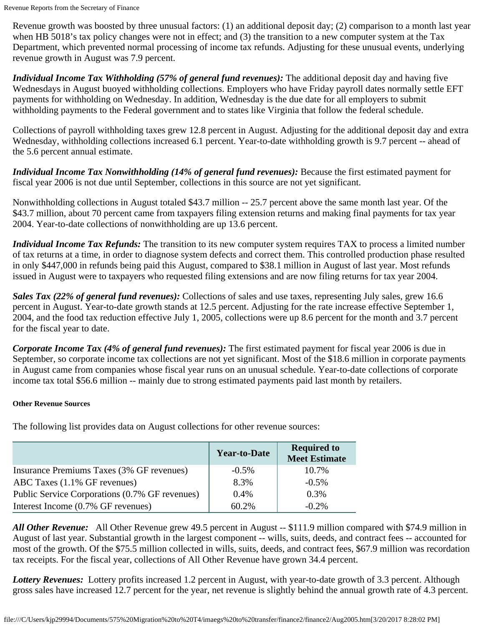Revenue growth was boosted by three unusual factors: (1) an additional deposit day; (2) comparison to a month last year when HB 5018's tax policy changes were not in effect; and (3) the transition to a new computer system at the Tax Department, which prevented normal processing of income tax refunds. Adjusting for these unusual events, underlying revenue growth in August was 7.9 percent.

*Individual Income Tax Withholding (57% of general fund revenues):* The additional deposit day and having five Wednesdays in August buoyed withholding collections. Employers who have Friday payroll dates normally settle EFT payments for withholding on Wednesday. In addition, Wednesday is the due date for all employers to submit withholding payments to the Federal government and to states like Virginia that follow the federal schedule.

Collections of payroll withholding taxes grew 12.8 percent in August. Adjusting for the additional deposit day and extra Wednesday, withholding collections increased 6.1 percent. Year-to-date withholding growth is 9.7 percent -- ahead of the 5.6 percent annual estimate.

*Individual Income Tax Nonwithholding (14% of general fund revenues):* Because the first estimated payment for fiscal year 2006 is not due until September, collections in this source are not yet significant.

Nonwithholding collections in August totaled \$43.7 million -- 25.7 percent above the same month last year. Of the \$43.7 million, about 70 percent came from taxpayers filing extension returns and making final payments for tax year 2004. Year-to-date collections of nonwithholding are up 13.6 percent.

*Individual Income Tax Refunds:* The transition to its new computer system requires TAX to process a limited number of tax returns at a time, in order to diagnose system defects and correct them. This controlled production phase resulted in only \$447,000 in refunds being paid this August, compared to \$38.1 million in August of last year. Most refunds issued in August were to taxpayers who requested filing extensions and are now filing returns for tax year 2004.

*Sales Tax (22% of general fund revenues):* Collections of sales and use taxes, representing July sales, grew 16.6 percent in August. Year-to-date growth stands at 12.5 percent. Adjusting for the rate increase effective September 1, 2004, and the food tax reduction effective July 1, 2005, collections were up 8.6 percent for the month and 3.7 percent for the fiscal year to date.

*Corporate Income Tax (4% of general fund revenues):* The first estimated payment for fiscal year 2006 is due in September, so corporate income tax collections are not yet significant. Most of the \$18.6 million in corporate payments in August came from companies whose fiscal year runs on an unusual schedule. Year-to-date collections of corporate income tax total \$56.6 million -- mainly due to strong estimated payments paid last month by retailers.

# **Other Revenue Sources**

The following list provides data on August collections for other revenue sources:

|                                                | <b>Year-to-Date</b> | <b>Required to</b><br><b>Meet Estimate</b> |
|------------------------------------------------|---------------------|--------------------------------------------|
| Insurance Premiums Taxes (3% GF revenues)      | $-0.5\%$            | 10.7%                                      |
| ABC Taxes (1.1% GF revenues)                   | 8.3%                | $-0.5\%$                                   |
| Public Service Corporations (0.7% GF revenues) | 0.4%                | 0.3%                                       |
| Interest Income (0.7% GF revenues)             | 60.2%               | $-0.2\%$                                   |

*All Other Revenue:* All Other Revenue grew 49.5 percent in August -- \$111.9 million compared with \$74.9 million in August of last year. Substantial growth in the largest component -- wills, suits, deeds, and contract fees -- accounted for most of the growth. Of the \$75.5 million collected in wills, suits, deeds, and contract fees, \$67.9 million was recordation tax receipts. For the fiscal year, collections of All Other Revenue have grown 34.4 percent.

*Lottery Revenues:* Lottery profits increased 1.2 percent in August, with year-to-date growth of 3.3 percent. Although gross sales have increased 12.7 percent for the year, net revenue is slightly behind the annual growth rate of 4.3 percent.